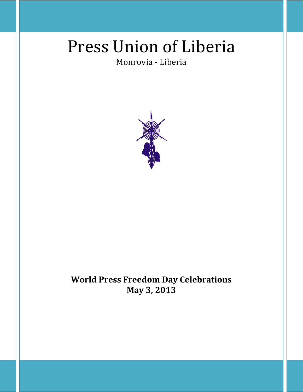# Press Union of Liberia

# Monrovia - Liberia



# **World Press Freedom Day Celebrations May 3, 2013**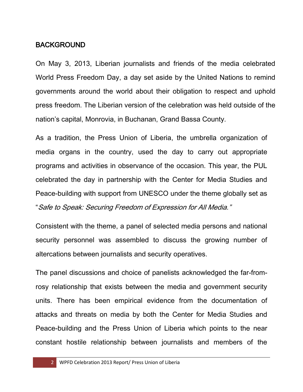### BACKGROUND

On May 3, 2013, Liberian journalists and friends of the media celebrated World Press Freedom Day, a day set aside by the United Nations to remind governments around the world about their obligation to respect and uphold press freedom. The Liberian version of the celebration was held outside of the nation's capital, Monrovia, in Buchanan, Grand Bassa County.

As a tradition, the Press Union of Liberia, the umbrella organization of media organs in the country, used the day to carry out appropriate programs and activities in observance of the occasion. This year, the PUL celebrated the day in partnership with the Center for Media Studies and Peace-building with support from UNESCO under the theme globally set as "Safe to Speak: Securing Freedom of Expression for All Media."

Consistent with the theme, a panel of selected media persons and national security personnel was assembled to discuss the growing number of altercations between journalists and security operatives.

The panel discussions and choice of panelists acknowledged the far-fromrosy relationship that exists between the media and government security units. There has been empirical evidence from the documentation of attacks and threats on media by both the Center for Media Studies and Peace-building and the Press Union of Liberia which points to the near constant hostile relationship between journalists and members of the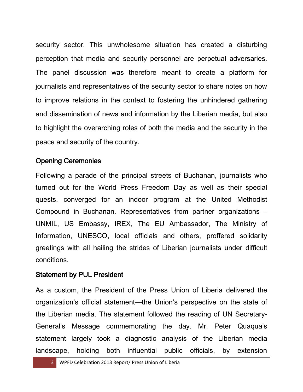security sector. This unwholesome situation has created a disturbing perception that media and security personnel are perpetual adversaries. The panel discussion was therefore meant to create a platform for journalists and representatives of the security sector to share notes on how to improve relations in the context to fostering the unhindered gathering and dissemination of news and information by the Liberian media, but also to highlight the overarching roles of both the media and the security in the peace and security of the country.

## Opening Ceremonies

Following a parade of the principal streets of Buchanan, journalists who turned out for the World Press Freedom Day as well as their special quests, converged for an indoor program at the United Methodist Compound in Buchanan. Representatives from partner organizations – UNMIL, US Embassy, IREX, The EU Ambassador, The Ministry of Information, UNESCO, local officials and others, proffered solidarity greetings with all hailing the strides of Liberian journalists under difficult conditions.

#### Statement by PUL President

As a custom, the President of the Press Union of Liberia delivered the organization's official statement—the Union's perspective on the state of the Liberian media. The statement followed the reading of UN Secretary-General's Message commemorating the day. Mr. Peter Quaqua's statement largely took a diagnostic analysis of the Liberian media landscape, holding both influential public officials, by extension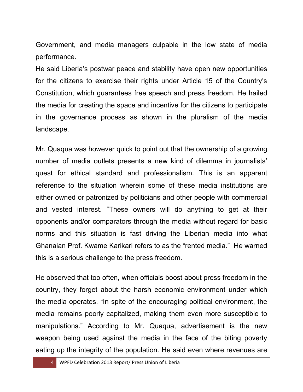Government, and media managers culpable in the low state of media performance.

He said Liberia's postwar peace and stability have open new opportunities for the citizens to exercise their rights under Article 15 of the Country's Constitution, which guarantees free speech and press freedom. He hailed the media for creating the space and incentive for the citizens to participate in the governance process as shown in the pluralism of the media landscape.

Mr. Quaqua was however quick to point out that the ownership of a growing number of media outlets presents a new kind of dilemma in journalists' quest for ethical standard and professionalism. This is an apparent reference to the situation wherein some of these media institutions are either owned or patronized by politicians and other people with commercial and vested interest. "These owners will do anything to get at their opponents and/or comparators through the media without regard for basic norms and this situation is fast driving the Liberian media into what Ghanaian Prof. Kwame Karikari refers to as the "rented media." He warned this is a serious challenge to the press freedom.

He observed that too often, when officials boost about press freedom in the country, they forget about the harsh economic environment under which the media operates. "In spite of the encouraging political environment, the media remains poorly capitalized, making them even more susceptible to manipulations." According to Mr. Quaqua, advertisement is the new weapon being used against the media in the face of the biting poverty eating up the integrity of the population. He said even where revenues are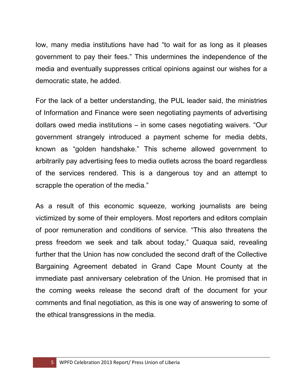low, many media institutions have had "to wait for as long as it pleases government to pay their fees." This undermines the independence of the media and eventually suppresses critical opinions against our wishes for a democratic state, he added.

For the lack of a better understanding, the PUL leader said, the ministries of Information and Finance were seen negotiating payments of advertising dollars owed media institutions – in some cases negotiating waivers. "Our government strangely introduced a payment scheme for media debts, known as "golden handshake." This scheme allowed government to arbitrarily pay advertising fees to media outlets across the board regardless of the services rendered. This is a dangerous toy and an attempt to scrapple the operation of the media."

As a result of this economic squeeze, working journalists are being victimized by some of their employers. Most reporters and editors complain of poor remuneration and conditions of service. "This also threatens the press freedom we seek and talk about today," Quaqua said, revealing further that the Union has now concluded the second draft of the Collective Bargaining Agreement debated in Grand Cape Mount County at the immediate past anniversary celebration of the Union. He promised that in the coming weeks release the second draft of the document for your comments and final negotiation, as this is one way of answering to some of the ethical transgressions in the media.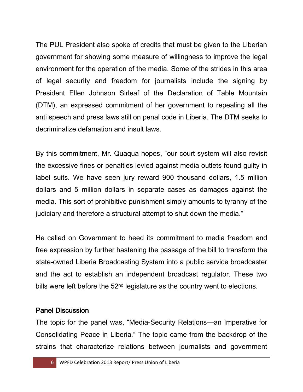The PUL President also spoke of credits that must be given to the Liberian government for showing some measure of willingness to improve the legal environment for the operation of the media. Some of the strides in this area of legal security and freedom for journalists include the signing by President Ellen Johnson Sirleaf of the Declaration of Table Mountain (DTM), an expressed commitment of her government to repealing all the anti speech and press laws still on penal code in Liberia. The DTM seeks to decriminalize defamation and insult laws.

By this commitment, Mr. Quaqua hopes, "our court system will also revisit the excessive fines or penalties levied against media outlets found guilty in label suits. We have seen jury reward 900 thousand dollars, 1.5 million dollars and 5 million dollars in separate cases as damages against the media. This sort of prohibitive punishment simply amounts to tyranny of the judiciary and therefore a structural attempt to shut down the media."

He called on Government to heed its commitment to media freedom and free expression by further hastening the passage of the bill to transform the state-owned Liberia Broadcasting System into a public service broadcaster and the act to establish an independent broadcast regulator. These two bills were left before the 52<sup>nd</sup> legislature as the country went to elections.

### Panel Discussion

The topic for the panel was, "Media-Security Relations—an Imperative for Consolidating Peace in Liberia." The topic came from the backdrop of the strains that characterize relations between journalists and government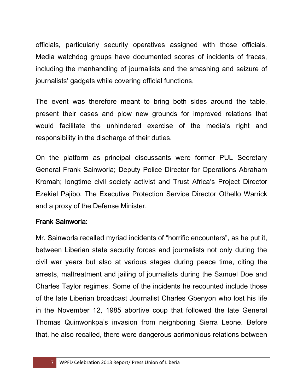officials, particularly security operatives assigned with those officials. Media watchdog groups have documented scores of incidents of fracas, including the manhandling of journalists and the smashing and seizure of journalists' gadgets while covering official functions.

The event was therefore meant to bring both sides around the table, present their cases and plow new grounds for improved relations that would facilitate the unhindered exercise of the media's right and responsibility in the discharge of their duties.

On the platform as principal discussants were former PUL Secretary General Frank Sainworla; Deputy Police Director for Operations Abraham Kromah; longtime civil society activist and Trust Africa's Project Director Ezekiel Pajibo, The Executive Protection Service Director Othello Warrick and a proxy of the Defense Minister.

### Frank Sainworla:

Mr. Sainworla recalled myriad incidents of "horrific encounters", as he put it, between Liberian state security forces and journalists not only during the civil war years but also at various stages during peace time, citing the arrests, maltreatment and jailing of journalists during the Samuel Doe and Charles Taylor regimes. Some of the incidents he recounted include those of the late Liberian broadcast Journalist Charles Gbenyon who lost his life in the November 12, 1985 abortive coup that followed the late General Thomas Quinwonkpa's invasion from neighboring Sierra Leone. Before that, he also recalled, there were dangerous acrimonious relations between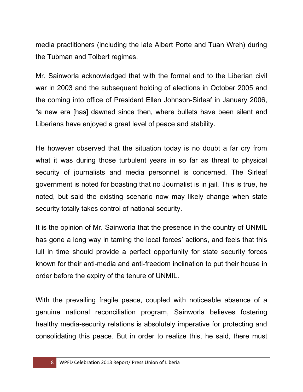media practitioners (including the late Albert Porte and Tuan Wreh) during the Tubman and Tolbert regimes.

Mr. Sainworla acknowledged that with the formal end to the Liberian civil war in 2003 and the subsequent holding of elections in October 2005 and the coming into office of President Ellen Johnson-Sirleaf in January 2006, "a new era [has] dawned since then, where bullets have been silent and Liberians have enjoyed a great level of peace and stability.

He however observed that the situation today is no doubt a far cry from what it was during those turbulent years in so far as threat to physical security of journalists and media personnel is concerned. The Sirleaf government is noted for boasting that no Journalist is in jail. This is true, he noted, but said the existing scenario now may likely change when state security totally takes control of national security.

It is the opinion of Mr. Sainworla that the presence in the country of UNMIL has gone a long way in taming the local forces' actions, and feels that this lull in time should provide a perfect opportunity for state security forces known for their anti-media and anti-freedom inclination to put their house in order before the expiry of the tenure of UNMIL.

With the prevailing fragile peace, coupled with noticeable absence of a genuine national reconciliation program, Sainworla believes fostering healthy media-security relations is absolutely imperative for protecting and consolidating this peace. But in order to realize this, he said, there must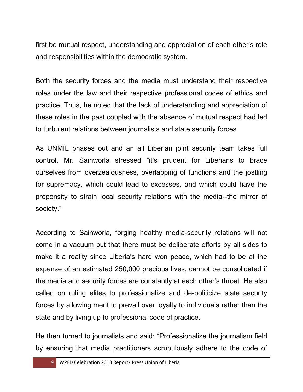first be mutual respect, understanding and appreciation of each other's role and responsibilities within the democratic system.

Both the security forces and the media must understand their respective roles under the law and their respective professional codes of ethics and practice. Thus, he noted that the lack of understanding and appreciation of these roles in the past coupled with the absence of mutual respect had led to turbulent relations between journalists and state security forces.

As UNMIL phases out and an all Liberian joint security team takes full control, Mr. Sainworla stressed "it's prudent for Liberians to brace ourselves from overzealousness, overlapping of functions and the jostling for supremacy, which could lead to excesses, and which could have the propensity to strain local security relations with the media--the mirror of society."

According to Sainworla, forging healthy media-security relations will not come in a vacuum but that there must be deliberate efforts by all sides to make it a reality since Liberia's hard won peace, which had to be at the expense of an estimated 250,000 precious lives, cannot be consolidated if the media and security forces are constantly at each other's throat. He also called on ruling elites to professionalize and de-politicize state security forces by allowing merit to prevail over loyalty to individuals rather than the state and by living up to professional code of practice.

He then turned to journalists and said: "Professionalize the journalism field by ensuring that media practitioners scrupulously adhere to the code of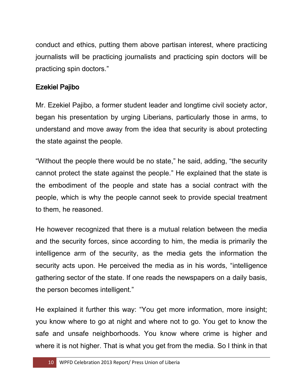conduct and ethics, putting them above partisan interest, where practicing journalists will be practicing journalists and practicing spin doctors will be practicing spin doctors."

## Ezekiel Pajibo

Mr. Ezekiel Pajibo, a former student leader and longtime civil society actor, began his presentation by urging Liberians, particularly those in arms, to understand and move away from the idea that security is about protecting the state against the people.

"Without the people there would be no state," he said, adding, "the security cannot protect the state against the people." He explained that the state is the embodiment of the people and state has a social contract with the people, which is why the people cannot seek to provide special treatment to them, he reasoned.

He however recognized that there is a mutual relation between the media and the security forces, since according to him, the media is primarily the intelligence arm of the security, as the media gets the information the security acts upon. He perceived the media as in his words, "intelligence gathering sector of the state. If one reads the newspapers on a daily basis, the person becomes intelligent."

He explained it further this way: "You get more information, more insight; you know where to go at night and where not to go. You get to know the safe and unsafe neighborhoods. You know where crime is higher and where it is not higher. That is what you get from the media. So I think in that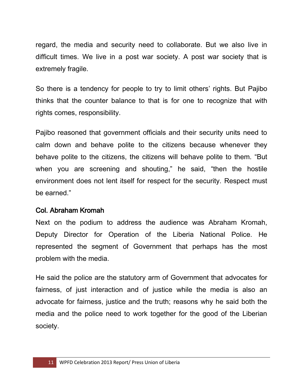regard, the media and security need to collaborate. But we also live in difficult times. We live in a post war society. A post war society that is extremely fragile.

So there is a tendency for people to try to limit others' rights. But Pajibo thinks that the counter balance to that is for one to recognize that with rights comes, responsibility.

Pajibo reasoned that government officials and their security units need to calm down and behave polite to the citizens because whenever they behave polite to the citizens, the citizens will behave polite to them. "But when you are screening and shouting," he said, "then the hostile environment does not lent itself for respect for the security. Respect must be earned."

#### Col. Abraham Kromah

Next on the podium to address the audience was Abraham Kromah, Deputy Director for Operation of the Liberia National Police. He represented the segment of Government that perhaps has the most problem with the media.

He said the police are the statutory arm of Government that advocates for fairness, of just interaction and of justice while the media is also an advocate for fairness, justice and the truth; reasons why he said both the media and the police need to work together for the good of the Liberian society.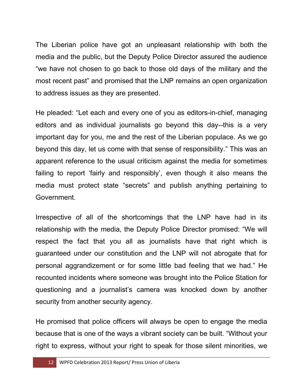The Liberian police have got an unpleasant relationship with both the media and the public, but the Deputy Police Director assured the audience "we have not chosen to go back to those old days of the military and the most recent past" and promised that the LNP remains an open organization to address issues as they are presented.

He pleaded: "Let each and every one of you as editors-in-chief, managing editors and as individual journalists go beyond this day--this is a very important day for you, me and the rest of the Liberian populace. As we go beyond this day, let us come with that sense of responsibility." This was an apparent reference to the usual criticism against the media for sometimes failing to report 'fairly and responsibly', even though it also means the media must protect state "secrets" and publish anything pertaining to Government.

Irrespective of all of the shortcomings that the LNP have had in its relationship with the media, the Deputy Police Director promised: "We will respect the fact that you all as journalists have that right which is guaranteed under our constitution and the LNP will not abrogate that for personal aggrandizement or for some little bad feeling that we had." He recounted incidents where someone was brought into the Police Station for questioning and a journalist's camera was knocked down by another security from another security agency.

He promised that police officers will always be open to engage the media because that is one of the ways a vibrant society can be built. "Without your right to express, without your right to speak for those silent minorities, we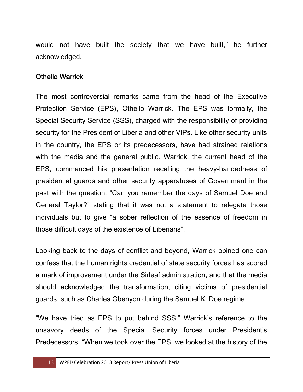would not have built the society that we have built," he further acknowledged.

#### Othello Warrick

The most controversial remarks came from the head of the Executive Protection Service (EPS), Othello Warrick. The EPS was formally, the Special Security Service (SSS), charged with the responsibility of providing security for the President of Liberia and other VIPs. Like other security units in the country, the EPS or its predecessors, have had strained relations with the media and the general public. Warrick, the current head of the EPS, commenced his presentation recalling the heavy-handedness of presidential guards and other security apparatuses of Government in the past with the question, "Can you remember the days of Samuel Doe and General Taylor?" stating that it was not a statement to relegate those individuals but to give "a sober reflection of the essence of freedom in those difficult days of the existence of Liberians".

Looking back to the days of conflict and beyond, Warrick opined one can confess that the human rights credential of state security forces has scored a mark of improvement under the Sirleaf administration, and that the media should acknowledged the transformation, citing victims of presidential guards, such as Charles Gbenyon during the Samuel K. Doe regime.

"We have tried as EPS to put behind SSS," Warrick's reference to the unsavory deeds of the Special Security forces under President's Predecessors. "When we took over the EPS, we looked at the history of the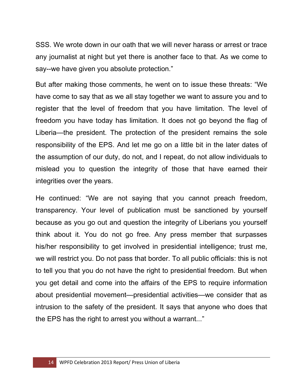SSS. We wrote down in our oath that we will never harass or arrest or trace any journalist at night but yet there is another face to that. As we come to say--we have given you absolute protection."

But after making those comments, he went on to issue these threats: "We have come to say that as we all stay together we want to assure you and to register that the level of freedom that you have limitation. The level of freedom you have today has limitation. It does not go beyond the flag of Liberia—the president. The protection of the president remains the sole responsibility of the EPS. And let me go on a little bit in the later dates of the assumption of our duty, do not, and I repeat, do not allow individuals to mislead you to question the integrity of those that have earned their integrities over the years.

He continued: "We are not saying that you cannot preach freedom, transparency. Your level of publication must be sanctioned by yourself because as you go out and question the integrity of Liberians you yourself think about it. You do not go free. Any press member that surpasses his/her responsibility to get involved in presidential intelligence; trust me, we will restrict you. Do not pass that border. To all public officials: this is not to tell you that you do not have the right to presidential freedom. But when you get detail and come into the affairs of the EPS to require information about presidential movement—presidential activities—we consider that as intrusion to the safety of the president. It says that anyone who does that the EPS has the right to arrest you without a warrant..."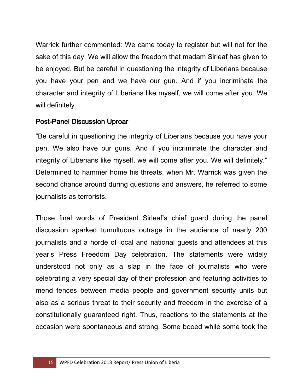Warrick further commented: We came today to register but will not for the sake of this day. We will allow the freedom that madam Sirleaf has given to be enjoyed. But be careful in questioning the integrity of Liberians because you have your pen and we have our gun. And if you incriminate the character and integrity of Liberians like myself, we will come after you. We will definitely.

#### Post-Panel Discussion Uproar

"Be careful in questioning the integrity of Liberians because you have your pen. We also have our guns. And if you incriminate the character and integrity of Liberians like myself, we will come after you. We will definitely." Determined to hammer home his threats, when Mr. Warrick was given the second chance around during questions and answers, he referred to some journalists as terrorists.

Those final words of President Sirleaf's chief guard during the panel discussion sparked tumultuous outrage in the audience of nearly 200 journalists and a horde of local and national guests and attendees at this year's Press Freedom Day celebration. The statements were widely understood not only as a slap in the face of journalists who were celebrating a very special day of their profession and featuring activities to mend fences between media people and government security units but also as a serious threat to their security and freedom in the exercise of a constitutionally guaranteed right. Thus, reactions to the statements at the occasion were spontaneous and strong. Some booed while some took the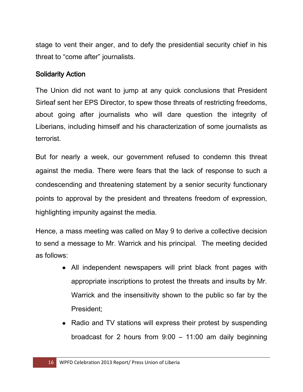stage to vent their anger, and to defy the presidential security chief in his threat to "come after" journalists.

### Solidarity Action

The Union did not want to jump at any quick conclusions that President Sirleaf sent her EPS Director, to spew those threats of restricting freedoms, about going after journalists who will dare question the integrity of Liberians, including himself and his characterization of some journalists as terrorist.

But for nearly a week, our government refused to condemn this threat against the media. There were fears that the lack of response to such a condescending and threatening statement by a senior security functionary points to approval by the president and threatens freedom of expression, highlighting impunity against the media.

Hence, a mass meeting was called on May 9 to derive a collective decision to send a message to Mr. Warrick and his principal. The meeting decided as follows:

- All independent newspapers will print black front pages with appropriate inscriptions to protest the threats and insults by Mr. Warrick and the insensitivity shown to the public so far by the President;
- Radio and TV stations will express their protest by suspending broadcast for 2 hours from 9:00 – 11:00 am daily beginning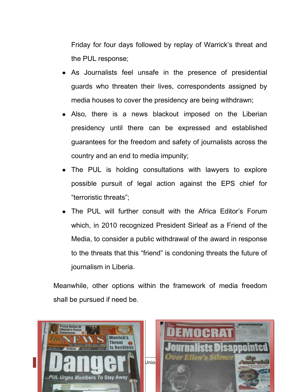Friday for four days followed by replay of Warrick's threat and the PUL response;

- As Journalists feel unsafe in the presence of presidential guards who threaten their lives, correspondents assigned by media houses to cover the presidency are being withdrawn;
- Also, there is a news blackout imposed on the Liberian presidency until there can be expressed and established guarantees for the freedom and safety of journalists across the country and an end to media impunity;
- The PUL is holding consultations with lawyers to explore possible pursuit of legal action against the EPS chief for "terroristic threats";
- The PUL will further consult with the Africa Editor's Forum which, in 2010 recognized President Sirleaf as a Friend of the Media, to consider a public withdrawal of the award in response to the threats that this "friend" is condoning threats the future of journalism in Liberia.

Meanwhile, other options within the framework of media freedom shall be pursued if need be.

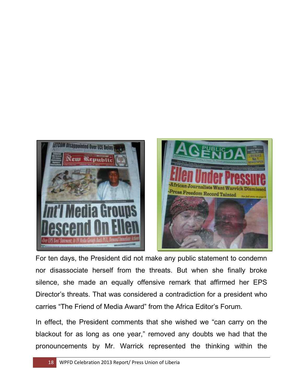

For ten days, the President did not make any public statement to condemn nor disassociate herself from the threats. But when she finally broke silence, she made an equally offensive remark that affirmed her EPS Director's threats. That was considered a contradiction for a president who carries "The Friend of Media Award" from the Africa Editor's Forum.

In effect, the President comments that she wished we "can carry on the blackout for as long as one year," removed any doubts we had that the pronouncements by Mr. Warrick represented the thinking within the